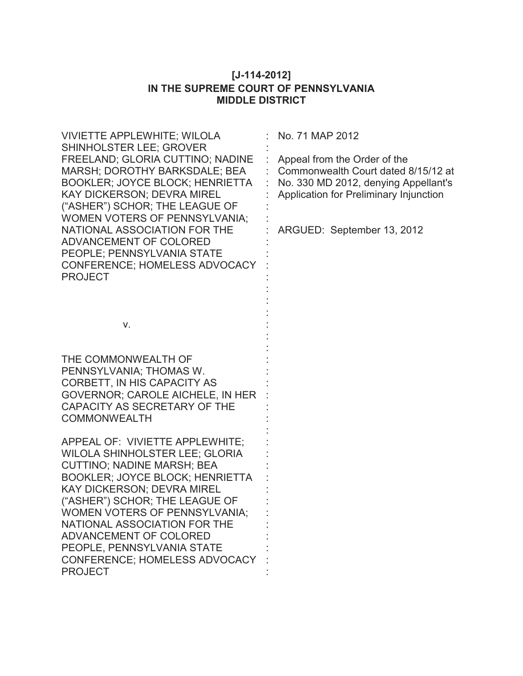# **[J-114-2012] IN THE SUPREME COURT OF PENNSYLVANIA MIDDLE DISTRICT**

| <b>VIVIETTE APPLEWHITE; WILOLA</b>                                                                                                                                                                                                                                                                                                                                                                  | No. 71 MAP 2012                                                                                                                                                                     |
|-----------------------------------------------------------------------------------------------------------------------------------------------------------------------------------------------------------------------------------------------------------------------------------------------------------------------------------------------------------------------------------------------------|-------------------------------------------------------------------------------------------------------------------------------------------------------------------------------------|
| SHINHOLSTER LEE; GROVER<br>FREELAND; GLORIA CUTTINO; NADINE<br>MARSH; DOROTHY BARKSDALE; BEA<br><b>BOOKLER; JOYCE BLOCK; HENRIETTA</b><br>KAY DICKERSON; DEVRA MIREL<br>("ASHER") SCHOR; THE LEAGUE OF<br><b>WOMEN VOTERS OF PENNSYLVANIA;</b><br>NATIONAL ASSOCIATION FOR THE<br>ADVANCEMENT OF COLORED<br>PEOPLE; PENNSYLVANIA STATE<br>CONFERENCE; HOMELESS ADVOCACY<br><b>PROJECT</b>           | Appeal from the Order of the<br>Commonwealth Court dated 8/15/12 at<br>No. 330 MD 2012, denying Appellant's<br>Application for Preliminary Injunction<br>ARGUED: September 13, 2012 |
| V.                                                                                                                                                                                                                                                                                                                                                                                                  |                                                                                                                                                                                     |
|                                                                                                                                                                                                                                                                                                                                                                                                     |                                                                                                                                                                                     |
| THE COMMONWEALTH OF<br>PENNSYLVANIA; THOMAS W.<br>CORBETT, IN HIS CAPACITY AS<br><b>GOVERNOR: CAROLE AICHELE, IN HER</b><br>CAPACITY AS SECRETARY OF THE<br><b>COMMONWEALTH</b>                                                                                                                                                                                                                     |                                                                                                                                                                                     |
| APPEAL OF: VIVIETTE APPLEWHITE;<br>WILOLA SHINHOLSTER LEE; GLORIA<br><b>CUTTINO; NADINE MARSH; BEA</b><br><b>BOOKLER; JOYCE BLOCK; HENRIETTA</b><br><b>KAY DICKERSON; DEVRA MIREL</b><br>("ASHER") SCHOR; THE LEAGUE OF<br>WOMEN VOTERS OF PENNSYLVANIA;<br>NATIONAL ASSOCIATION FOR THE<br>ADVANCEMENT OF COLORED<br>PEOPLE, PENNSYLVANIA STATE<br>CONFERENCE; HOMELESS ADVOCACY<br><b>PROJECT</b> |                                                                                                                                                                                     |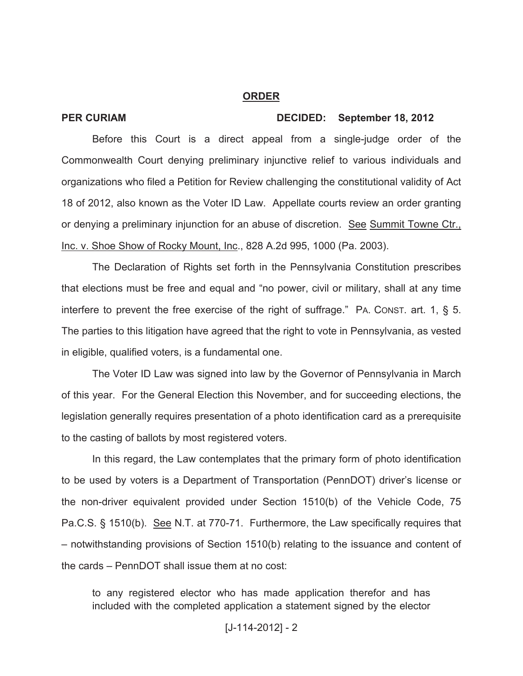### **ORDER**

## **PER CURIAM DECIDED: September 18, 2012**

Before this Court is a direct appeal from a single-judge order of the Commonwealth Court denying preliminary injunctive relief to various individuals and organizations who filed a Petition for Review challenging the constitutional validity of Act 18 of 2012, also known as the Voter ID Law. Appellate courts review an order granting or denying a preliminary injunction for an abuse of discretion. See Summit Towne Ctr., Inc. v. Shoe Show of Rocky Mount, Inc., 828 A.2d 995, 1000 (Pa. 2003).

The Declaration of Rights set forth in the Pennsylvania Constitution prescribes that elections must be free and equal and "no power, civil or military, shall at any time interfere to prevent the free exercise of the right of suffrage." PA. CONST. art. 1, § 5. The parties to this litigation have agreed that the right to vote in Pennsylvania, as vested in eligible, qualified voters, is a fundamental one.

The Voter ID Law was signed into law by the Governor of Pennsylvania in March of this year. For the General Election this November, and for succeeding elections, the legislation generally requires presentation of a photo identification card as a prerequisite to the casting of ballots by most registered voters.

In this regard, the Law contemplates that the primary form of photo identification to be used by voters is a Department of Transportation (PennDOT) driver's license or the non-driver equivalent provided under Section 1510(b) of the Vehicle Code, 75 Pa.C.S. § 1510(b). See N.T. at 770-71. Furthermore, the Law specifically requires that – notwithstanding provisions of Section 1510(b) relating to the issuance and content of the cards – PennDOT shall issue them at no cost:

to any registered elector who has made application therefor and has included with the completed application a statement signed by the elector

### $[J-114-2012] - 2$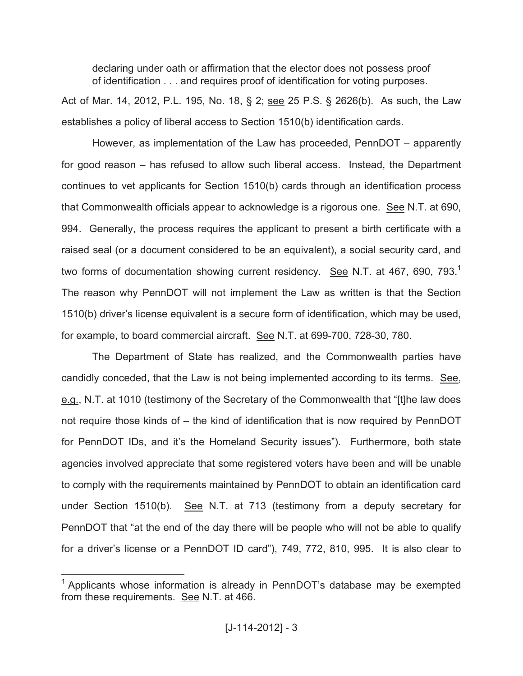declaring under oath or affirmation that the elector does not possess proof of identification . . . and requires proof of identification for voting purposes.

Act of Mar. 14, 2012, P.L. 195, No. 18, § 2; see 25 P.S. § 2626(b). As such, the Law establishes a policy of liberal access to Section 1510(b) identification cards.

However, as implementation of the Law has proceeded, PennDOT – apparently for good reason – has refused to allow such liberal access. Instead, the Department continues to vet applicants for Section 1510(b) cards through an identification process that Commonwealth officials appear to acknowledge is a rigorous one. See N.T. at 690, 994. Generally, the process requires the applicant to present a birth certificate with a raised seal (or a document considered to be an equivalent), a social security card, and two forms of documentation showing current residency. See N.T. at 467, 690, 793.<sup>1</sup> The reason why PennDOT will not implement the Law as written is that the Section 1510(b) driver's license equivalent is a secure form of identification, which may be used, for example, to board commercial aircraft. See N.T. at 699-700, 728-30, 780.

The Department of State has realized, and the Commonwealth parties have candidly conceded, that the Law is not being implemented according to its terms. See, e.g., N.T. at 1010 (testimony of the Secretary of the Commonwealth that "[t]he law does not require those kinds of – the kind of identification that is now required by PennDOT for PennDOT IDs, and it's the Homeland Security issues"). Furthermore, both state agencies involved appreciate that some registered voters have been and will be unable to comply with the requirements maintained by PennDOT to obtain an identification card under Section 1510(b). See N.T. at 713 (testimony from a deputy secretary for PennDOT that "at the end of the day there will be people who will not be able to qualify for a driver's license or a PennDOT ID card"), 749, 772, 810, 995. It is also clear to

 $\overline{a}$ 

 $1$  Applicants whose information is already in PennDOT's database may be exempted from these requirements. See N.T. at 466.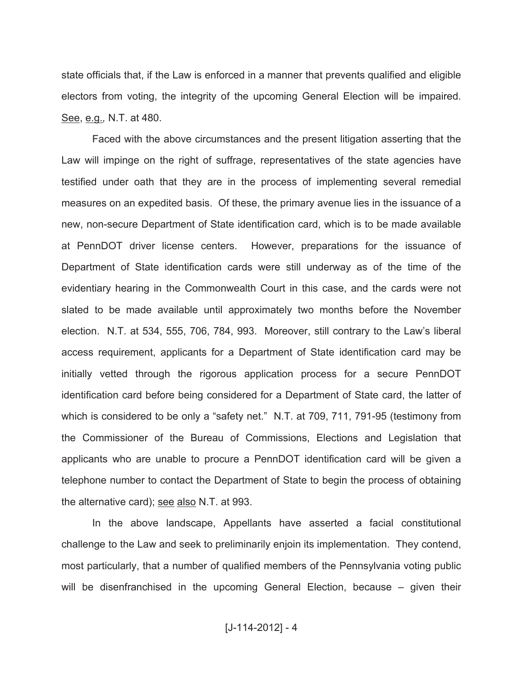state officials that, if the Law is enforced in a manner that prevents qualified and eligible electors from voting, the integrity of the upcoming General Election will be impaired. See, e.g.*,* N.T. at 480.

Faced with the above circumstances and the present litigation asserting that the Law will impinge on the right of suffrage, representatives of the state agencies have testified under oath that they are in the process of implementing several remedial measures on an expedited basis. Of these, the primary avenue lies in the issuance of a new, non-secure Department of State identification card, which is to be made available at PennDOT driver license centers. However, preparations for the issuance of Department of State identification cards were still underway as of the time of the evidentiary hearing in the Commonwealth Court in this case, and the cards were not slated to be made available until approximately two months before the November election. N.T. at 534, 555, 706, 784, 993. Moreover, still contrary to the Law's liberal access requirement, applicants for a Department of State identification card may be initially vetted through the rigorous application process for a secure PennDOT identification card before being considered for a Department of State card, the latter of which is considered to be only a "safety net." N.T. at 709, 711, 791-95 (testimony from the Commissioner of the Bureau of Commissions, Elections and Legislation that applicants who are unable to procure a PennDOT identification card will be given a telephone number to contact the Department of State to begin the process of obtaining the alternative card); see also N.T. at 993.

In the above landscape, Appellants have asserted a facial constitutional challenge to the Law and seek to preliminarily enjoin its implementation. They contend, most particularly, that a number of qualified members of the Pennsylvania voting public will be disenfranchised in the upcoming General Election, because – given their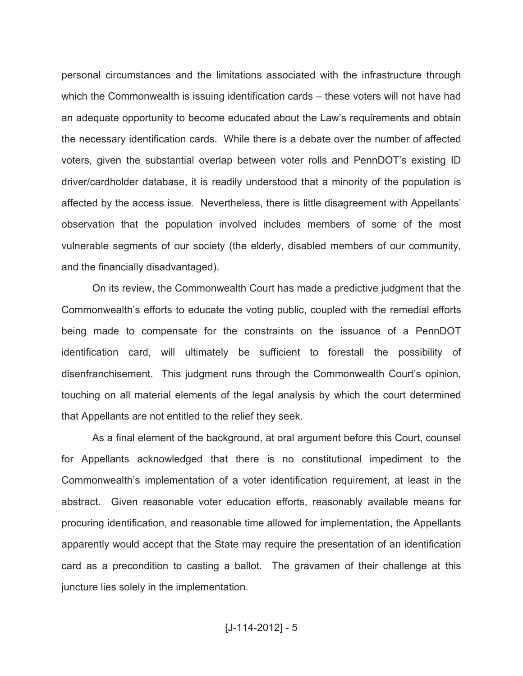personal circumstances and the limitations associated with the infrastructure through which the Commonwealth is issuing identification cards – these voters will not have had an adequate opportunity to become educated about the Law's requirements and obtain the necessary identification cards. While there is a debate over the number of affected voters, given the substantial overlap between voter rolls and PennDOT's existing ID driver/cardholder database, it is readily understood that a minority of the population is affected by the access issue. Nevertheless, there is little disagreement with Appellants' observation that the population involved includes members of some of the most vulnerable segments of our society (the elderly, disabled members of our community, and the financially disadvantaged).

On its review, the Commonwealth Court has made a predictive judgment that the Commonwealth's efforts to educate the voting public, coupled with the remedial efforts being made to compensate for the constraints on the issuance of a PennDOT identification card, will ultimately be sufficient to forestall the possibility of disenfranchisement. This judgment runs through the Commonwealth Court's opinion, touching on all material elements of the legal analysis by which the court determined that Appellants are not entitled to the relief they seek.

As a final element of the background, at oral argument before this Court, counsel for Appellants acknowledged that there is no constitutional impediment to the Commonwealth's implementation of a voter identification requirement, at least in the abstract. Given reasonable voter education efforts, reasonably available means for procuring identification, and reasonable time allowed for implementation, the Appellants apparently would accept that the State may require the presentation of an identification card as a precondition to casting a ballot. The gravamen of their challenge at this juncture lies solely in the implementation.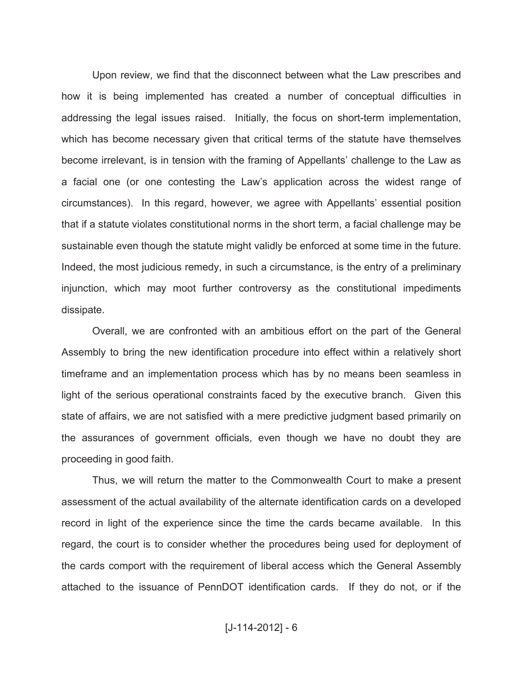Upon review, we find that the disconnect between what the Law prescribes and how it is being implemented has created a number of conceptual difficulties in addressing the legal issues raised. Initially, the focus on short-term implementation, which has become necessary given that critical terms of the statute have themselves become irrelevant, is in tension with the framing of Appellants' challenge to the Law as a facial one (or one contesting the Law's application across the widest range of circumstances). In this regard, however, we agree with Appellants' essential position that if a statute violates constitutional norms in the short term, a facial challenge may be sustainable even though the statute might validly be enforced at some time in the future. Indeed, the most judicious remedy, in such a circumstance, is the entry of a preliminary injunction, which may moot further controversy as the constitutional impediments dissipate.

Overall, we are confronted with an ambitious effort on the part of the General Assembly to bring the new identification procedure into effect within a relatively short timeframe and an implementation process which has by no means been seamless in light of the serious operational constraints faced by the executive branch. Given this state of affairs, we are not satisfied with a mere predictive judgment based primarily on the assurances of government officials, even though we have no doubt they are proceeding in good faith.

Thus, we will return the matter to the Commonwealth Court to make a present assessment of the actual availability of the alternate identification cards on a developed record in light of the experience since the time the cards became available. In this regard, the court is to consider whether the procedures being used for deployment of the cards comport with the requirement of liberal access which the General Assembly attached to the issuance of PennDOT identification cards. If they do not, or if the